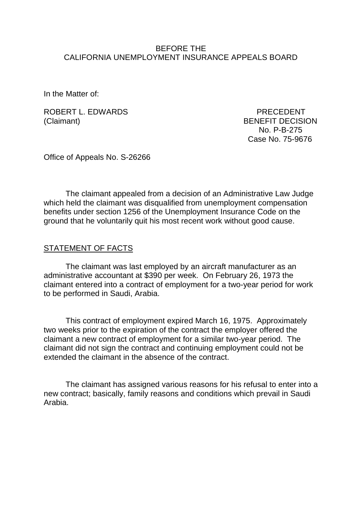#### BEFORE THE CALIFORNIA UNEMPLOYMENT INSURANCE APPEALS BOARD

In the Matter of:

ROBERT L. EDWARDS PRECEDENT (Claimant) BENEFIT DECISION

 No. P-B-275 Case No. 75-9676

Office of Appeals No. S-26266

The claimant appealed from a decision of an Administrative Law Judge which held the claimant was disqualified from unemployment compensation benefits under section 1256 of the Unemployment Insurance Code on the ground that he voluntarily quit his most recent work without good cause.

#### STATEMENT OF FACTS

The claimant was last employed by an aircraft manufacturer as an administrative accountant at \$390 per week. On February 26, 1973 the claimant entered into a contract of employment for a two-year period for work to be performed in Saudi, Arabia.

This contract of employment expired March 16, 1975. Approximately two weeks prior to the expiration of the contract the employer offered the claimant a new contract of employment for a similar two-year period. The claimant did not sign the contract and continuing employment could not be extended the claimant in the absence of the contract.

The claimant has assigned various reasons for his refusal to enter into a new contract; basically, family reasons and conditions which prevail in Saudi Arabia.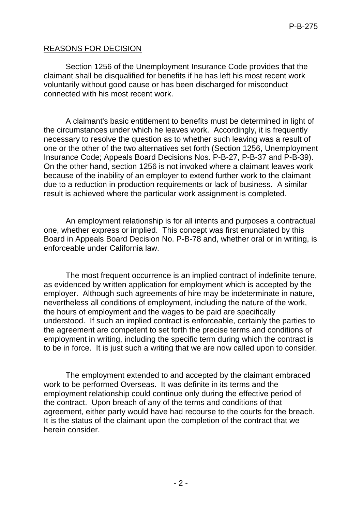# REASONS FOR DECISION

Section 1256 of the Unemployment Insurance Code provides that the claimant shall be disqualified for benefits if he has left his most recent work voluntarily without good cause or has been discharged for misconduct connected with his most recent work.

A claimant's basic entitlement to benefits must be determined in light of the circumstances under which he leaves work. Accordingly, it is frequently necessary to resolve the question as to whether such leaving was a result of one or the other of the two alternatives set forth (Section 1256, Unemployment Insurance Code; Appeals Board Decisions Nos. P-B-27, P-B-37 and P-B-39). On the other hand, section 1256 is not invoked where a claimant leaves work because of the inability of an employer to extend further work to the claimant due to a reduction in production requirements or lack of business. A similar result is achieved where the particular work assignment is completed.

An employment relationship is for all intents and purposes a contractual one, whether express or implied. This concept was first enunciated by this Board in Appeals Board Decision No. P-B-78 and, whether oral or in writing, is enforceable under California law.

The most frequent occurrence is an implied contract of indefinite tenure, as evidenced by written application for employment which is accepted by the employer. Although such agreements of hire may be indeterminate in nature, nevertheless all conditions of employment, including the nature of the work, the hours of employment and the wages to be paid are specifically understood. If such an implied contract is enforceable, certainly the parties to the agreement are competent to set forth the precise terms and conditions of employment in writing, including the specific term during which the contract is to be in force. It is just such a writing that we are now called upon to consider.

The employment extended to and accepted by the claimant embraced work to be performed Overseas. It was definite in its terms and the employment relationship could continue only during the effective period of the contract. Upon breach of any of the terms and conditions of that agreement, either party would have had recourse to the courts for the breach. It is the status of the claimant upon the completion of the contract that we herein consider.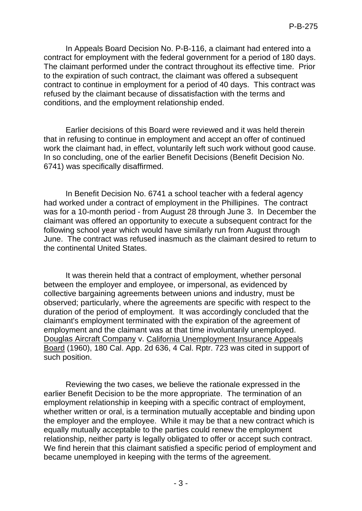In Appeals Board Decision No. P-B-116, a claimant had entered into a contract for employment with the federal government for a period of 180 days. The claimant performed under the contract throughout its effective time. Prior to the expiration of such contract, the claimant was offered a subsequent contract to continue in employment for a period of 40 days. This contract was refused by the claimant because of dissatisfaction with the terms and conditions, and the employment relationship ended.

Earlier decisions of this Board were reviewed and it was held therein that in refusing to continue in employment and accept an offer of continued work the claimant had, in effect, voluntarily left such work without good cause. In so concluding, one of the earlier Benefit Decisions (Benefit Decision No. 6741) was specifically disaffirmed.

In Benefit Decision No. 6741 a school teacher with a federal agency had worked under a contract of employment in the Phillipines. The contract was for a 10-month period - from August 28 through June 3. In December the claimant was offered an opportunity to execute a subsequent contract for the following school year which would have similarly run from August through June. The contract was refused inasmuch as the claimant desired to return to the continental United States.

It was therein held that a contract of employment, whether personal between the employer and employee, or impersonal, as evidenced by collective bargaining agreements between unions and industry, must be observed; particularly, where the agreements are specific with respect to the duration of the period of employment. It was accordingly concluded that the claimant's employment terminated with the expiration of the agreement of employment and the claimant was at that time involuntarily unemployed. Douglas Aircraft Company v. California Unemployment Insurance Appeals Board (1960), 180 Cal. App. 2d 636, 4 Cal. Rptr. 723 was cited in support of such position.

Reviewing the two cases, we believe the rationale expressed in the earlier Benefit Decision to be the more appropriate. The termination of an employment relationship in keeping with a specific contract of employment, whether written or oral, is a termination mutually acceptable and binding upon the employer and the employee. While it may be that a new contract which is equally mutually acceptable to the parties could renew the employment relationship, neither party is legally obligated to offer or accept such contract. We find herein that this claimant satisfied a specific period of employment and became unemployed in keeping with the terms of the agreement.